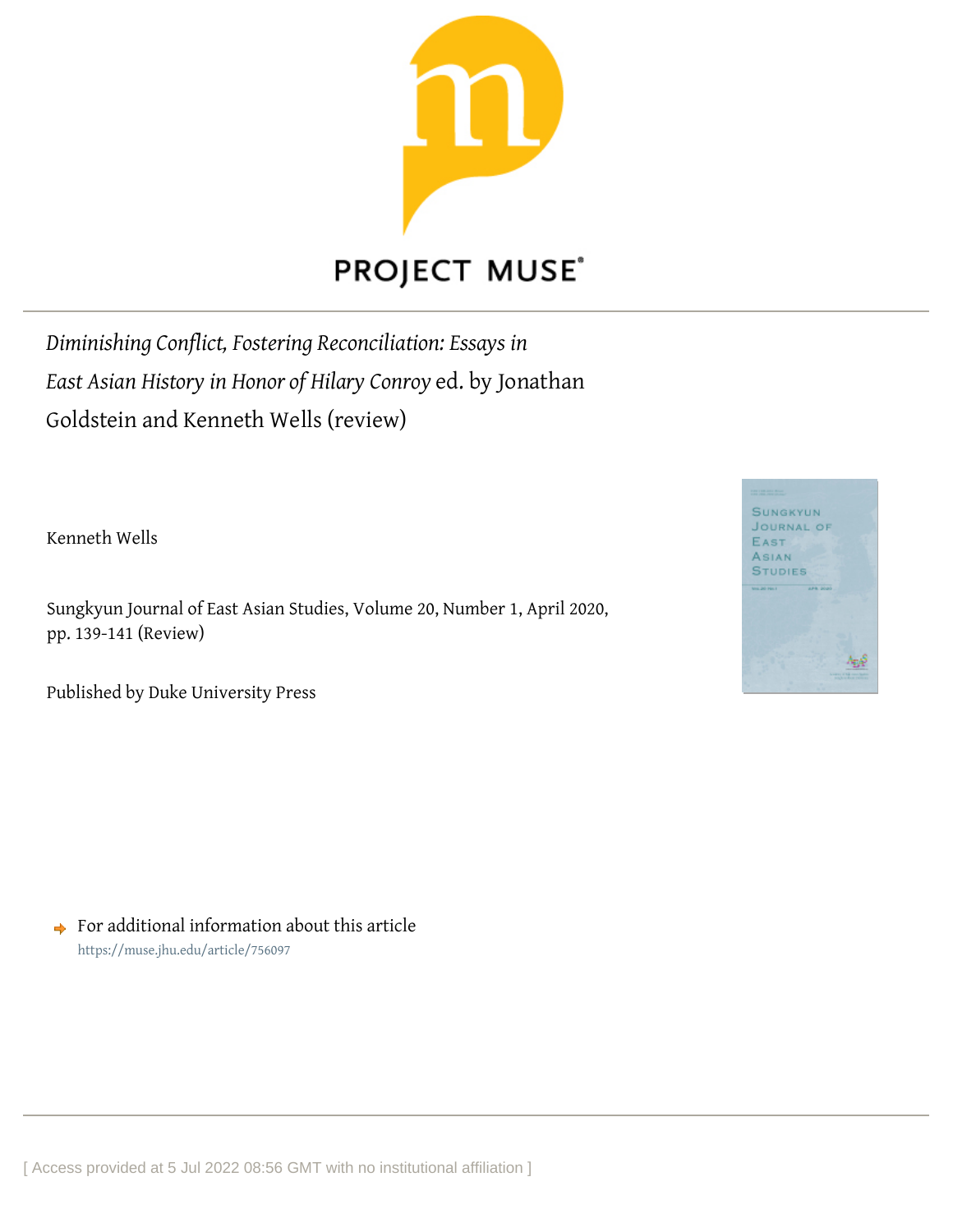

## **PROJECT MUSE®**

*Diminishing Conflict, Fostering Reconciliation: Essays in East Asian History in Honor of Hilary Conroy* ed. by Jonathan Goldstein and Kenneth Wells (review)

Kenneth Wells

Sungkyun Journal of East Asian Studies, Volume 20, Number 1, April 2020, pp. 139-141 (Review)

Published by Duke University Press



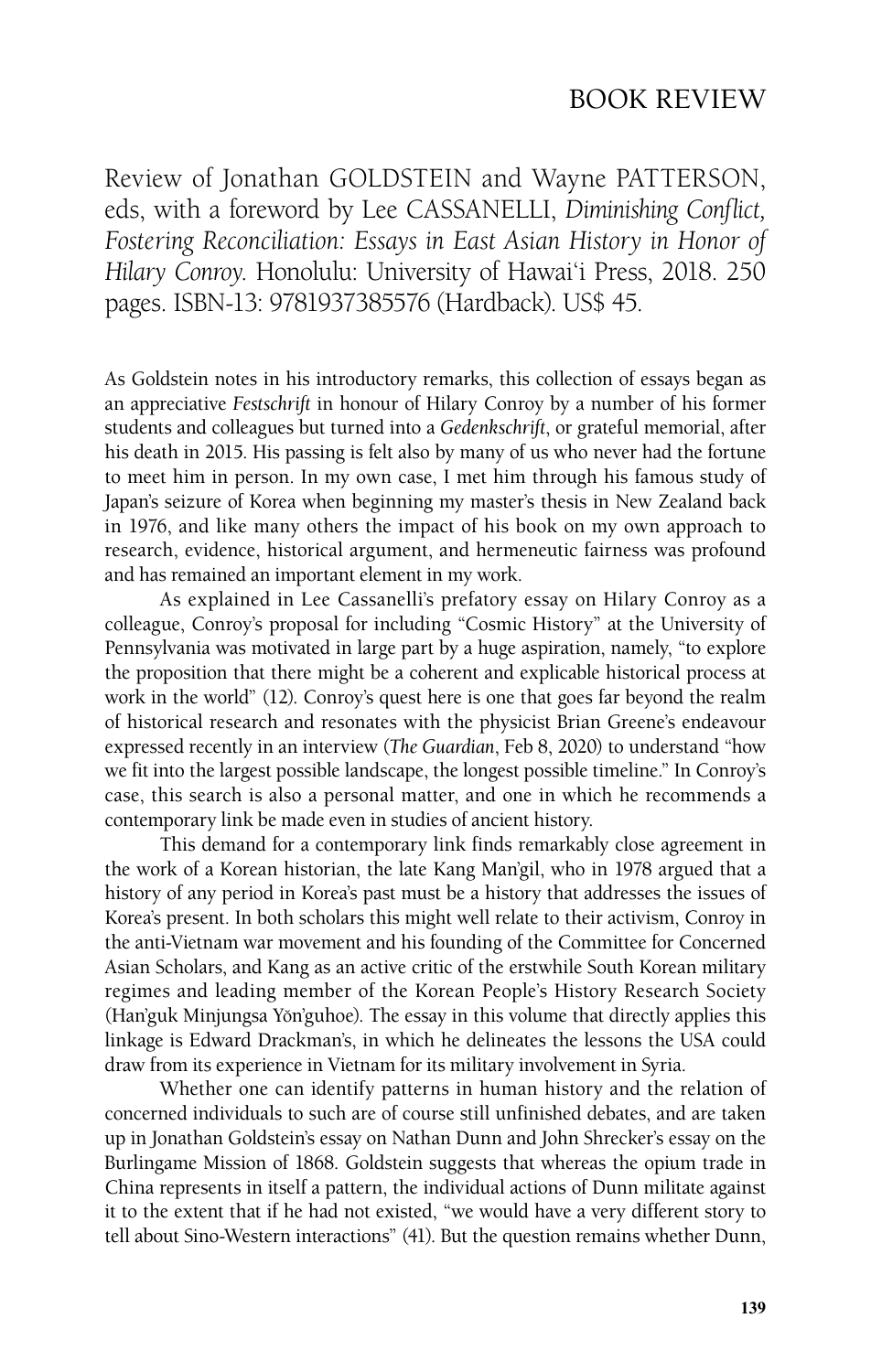## BOOK REVIEW

Review of Jonathan GOLDSTEIN and Wayne PATTERSON, eds, with a foreword by Lee CASSANELLI, *Diminishing Conflict, Fostering Reconciliation: Essays in East Asian History in Honor of Hilary Conroy*. Honolulu: University of Hawai'i Press, 2018. 250 pages. ISBN-13: 9781937385576 (Hardback). US\$ 45.

As Goldstein notes in his introductory remarks, this collection of essays began as an appreciative *Festschrift* in honour of Hilary Conroy by a number of his former students and colleagues but turned into a *Gedenkschrift*, or grateful memorial, after his death in 2015. His passing is felt also by many of us who never had the fortune to meet him in person. In my own case, I met him through his famous study of Japan's seizure of Korea when beginning my master's thesis in New Zealand back in 1976, and like many others the impact of his book on my own approach to research, evidence, historical argument, and hermeneutic fairness was profound and has remained an important element in my work.

As explained in Lee Cassanelli's prefatory essay on Hilary Conroy as a colleague, Conroy's proposal for including "Cosmic History" at the University of Pennsylvania was motivated in large part by a huge aspiration, namely, "to explore the proposition that there might be a coherent and explicable historical process at work in the world" (12). Conroy's quest here is one that goes far beyond the realm of historical research and resonates with the physicist Brian Greene's endeavour expressed recently in an interview (*The Guardian*, Feb 8, 2020) to understand "how we fit into the largest possible landscape, the longest possible timeline." In Conroy's case, this search is also a personal matter, and one in which he recommends a contemporary link be made even in studies of ancient history.

This demand for a contemporary link finds remarkably close agreement in the work of a Korean historian, the late Kang Man'gil, who in 1978 argued that a history of any period in Korea's past must be a history that addresses the issues of Korea's present. In both scholars this might well relate to their activism, Conroy in the anti-Vietnam war movement and his founding of the Committee for Concerned Asian Scholars, and Kang as an active critic of the erstwhile South Korean military regimes and leading member of the Korean People's History Research Society (Han'guk Minjungsa Yŏn'guhoe). The essay in this volume that directly applies this linkage is Edward Drackman's, in which he delineates the lessons the USA could draw from its experience in Vietnam for its military involvement in Syria.

Whether one can identify patterns in human history and the relation of concerned individuals to such are of course still unfinished debates, and are taken up in Jonathan Goldstein's essay on Nathan Dunn and John Shrecker's essay on the Burlingame Mission of 1868. Goldstein suggests that whereas the opium trade in China represents in itself a pattern, the individual actions of Dunn militate against it to the extent that if he had not existed, "we would have a very different story to tell about Sino-Western interactions" (41). But the question remains whether Dunn,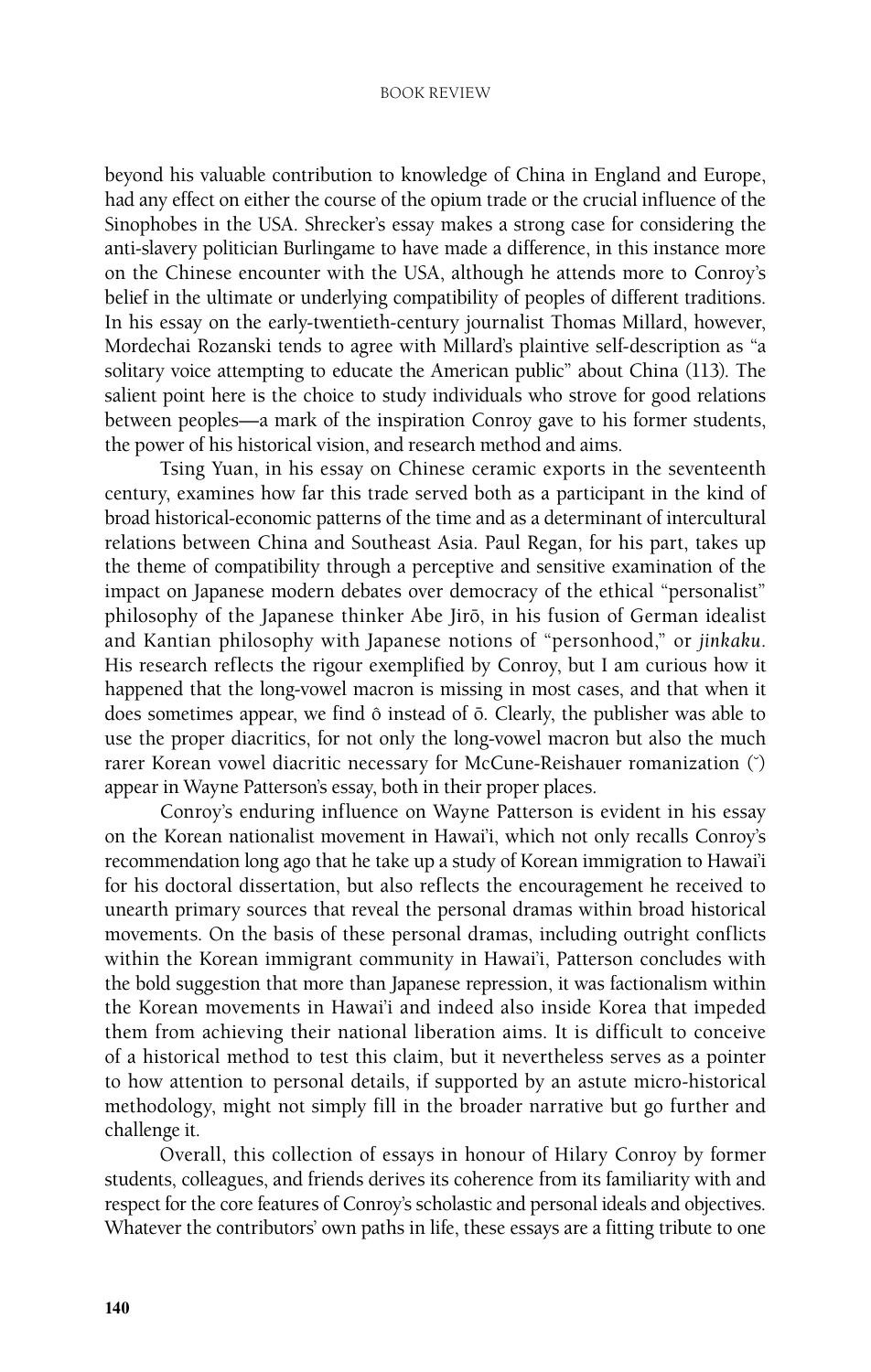## BOOK REVIEW

beyond his valuable contribution to knowledge of China in England and Europe, had any effect on either the course of the opium trade or the crucial influence of the Sinophobes in the USA. Shrecker's essay makes a strong case for considering the anti-slavery politician Burlingame to have made a difference, in this instance more on the Chinese encounter with the USA, although he attends more to Conroy's belief in the ultimate or underlying compatibility of peoples of different traditions. In his essay on the early-twentieth-century journalist Thomas Millard, however, Mordechai Rozanski tends to agree with Millard's plaintive self-description as "a solitary voice attempting to educate the American public" about China (113). The salient point here is the choice to study individuals who strove for good relations between peoples—a mark of the inspiration Conroy gave to his former students, the power of his historical vision, and research method and aims.

Tsing Yuan, in his essay on Chinese ceramic exports in the seventeenth century, examines how far this trade served both as a participant in the kind of broad historical-economic patterns of the time and as a determinant of intercultural relations between China and Southeast Asia. Paul Regan, for his part, takes up the theme of compatibility through a perceptive and sensitive examination of the impact on Japanese modern debates over democracy of the ethical "personalist" philosophy of the Japanese thinker Abe Jirō, in his fusion of German idealist and Kantian philosophy with Japanese notions of "personhood," or *jinkaku*. His research reflects the rigour exemplified by Conroy, but I am curious how it happened that the long-vowel macron is missing in most cases, and that when it does sometimes appear, we find  $\hat{o}$  instead of  $\bar{o}$ . Clearly, the publisher was able to use the proper diacritics, for not only the long-vowel macron but also the much rarer Korean vowel diacritic necessary for McCune-Reishauer romanization (˘) appear in Wayne Patterson's essay, both in their proper places.

Conroy's enduring influence on Wayne Patterson is evident in his essay on the Korean nationalist movement in Hawai'i, which not only recalls Conroy's recommendation long ago that he take up a study of Korean immigration to Hawai'i for his doctoral dissertation, but also reflects the encouragement he received to unearth primary sources that reveal the personal dramas within broad historical movements. On the basis of these personal dramas, including outright conflicts within the Korean immigrant community in Hawai'i, Patterson concludes with the bold suggestion that more than Japanese repression, it was factionalism within the Korean movements in Hawai'i and indeed also inside Korea that impeded them from achieving their national liberation aims. It is difficult to conceive of a historical method to test this claim, but it nevertheless serves as a pointer to how attention to personal details, if supported by an astute micro-historical methodology, might not simply fill in the broader narrative but go further and challenge it.

Overall, this collection of essays in honour of Hilary Conroy by former students, colleagues, and friends derives its coherence from its familiarity with and respect for the core features of Conroy's scholastic and personal ideals and objectives. Whatever the contributors' own paths in life, these essays are a fitting tribute to one